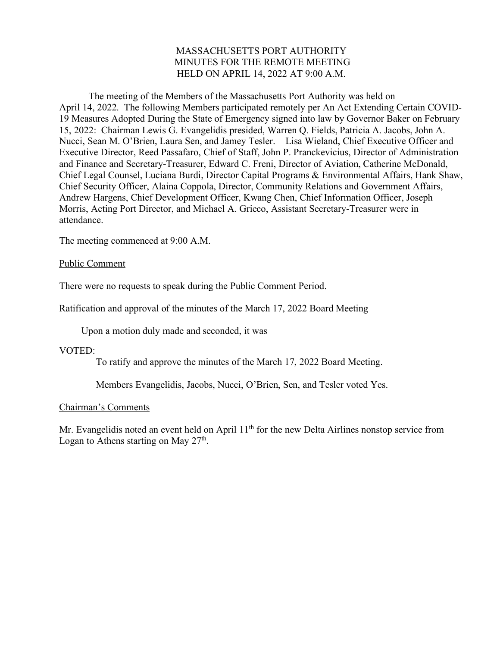### MASSACHUSETTS PORT AUTHORITY MINUTES FOR THE REMOTE MEETING HELD ON APRIL 14, 2022 AT 9:00 A.M.

The meeting of the Members of the Massachusetts Port Authority was held on April 14, 2022. The following Members participated remotely per An Act Extending Certain COVID-19 Measures Adopted During the State of Emergency signed into law by Governor Baker on February 15, 2022: Chairman Lewis G. Evangelidis presided, Warren Q. Fields, Patricia A. Jacobs, John A. Nucci, Sean M. O'Brien, Laura Sen, and Jamey Tesler. Lisa Wieland, Chief Executive Officer and Executive Director, Reed Passafaro, Chief of Staff, John P. Pranckevicius, Director of Administration and Finance and Secretary-Treasurer, Edward C. Freni, Director of Aviation, Catherine McDonald, Chief Legal Counsel, Luciana Burdi, Director Capital Programs & Environmental Affairs, Hank Shaw, Chief Security Officer, Alaina Coppola, Director, Community Relations and Government Affairs, Andrew Hargens, Chief Development Officer, Kwang Chen, Chief Information Officer, Joseph Morris, Acting Port Director, and Michael A. Grieco, Assistant Secretary-Treasurer were in attendance.

The meeting commenced at 9:00 A.M.

#### Public Comment

There were no requests to speak during the Public Comment Period.

# Ratification and approval of the minutes of the March 17, 2022 Board Meeting

Upon a motion duly made and seconded, it was

VOTED:

To ratify and approve the minutes of the March 17, 2022 Board Meeting.

Members Evangelidis, Jacobs, Nucci, O'Brien, Sen, and Tesler voted Yes.

#### Chairman's Comments

Mr. Evangelidis noted an event held on April  $11<sup>th</sup>$  for the new Delta Airlines nonstop service from Logan to Athens starting on May  $27<sup>th</sup>$ .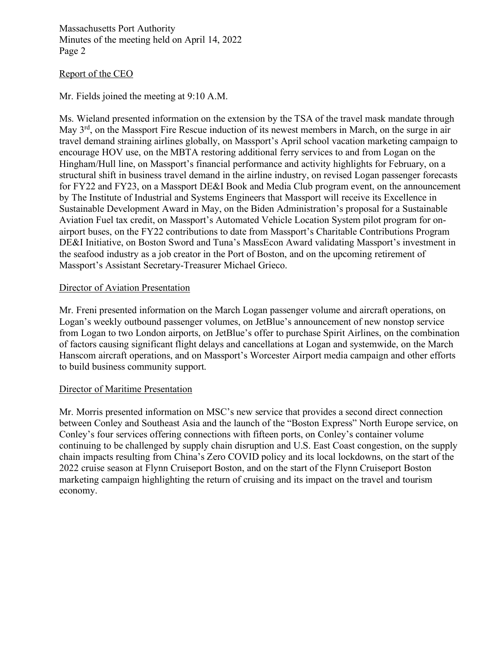#### Report of the CEO

Mr. Fields joined the meeting at 9:10 A.M.

Ms. Wieland presented information on the extension by the TSA of the travel mask mandate through May 3rd, on the Massport Fire Rescue induction of its newest members in March, on the surge in air travel demand straining airlines globally, on Massport's April school vacation marketing campaign to encourage HOV use, on the MBTA restoring additional ferry services to and from Logan on the Hingham/Hull line, on Massport's financial performance and activity highlights for February, on a structural shift in business travel demand in the airline industry, on revised Logan passenger forecasts for FY22 and FY23, on a Massport DE&I Book and Media Club program event, on the announcement by The Institute of Industrial and Systems Engineers that Massport will receive its Excellence in Sustainable Development Award in May, on the Biden Administration's proposal for a Sustainable Aviation Fuel tax credit, on Massport's Automated Vehicle Location System pilot program for onairport buses, on the FY22 contributions to date from Massport's Charitable Contributions Program DE&I Initiative, on Boston Sword and Tuna's MassEcon Award validating Massport's investment in the seafood industry as a job creator in the Port of Boston, and on the upcoming retirement of Massport's Assistant Secretary-Treasurer Michael Grieco.

#### Director of Aviation Presentation

Mr. Freni presented information on the March Logan passenger volume and aircraft operations, on Logan's weekly outbound passenger volumes, on JetBlue's announcement of new nonstop service from Logan to two London airports, on JetBlue's offer to purchase Spirit Airlines, on the combination of factors causing significant flight delays and cancellations at Logan and systemwide, on the March Hanscom aircraft operations, and on Massport's Worcester Airport media campaign and other efforts to build business community support.

#### Director of Maritime Presentation

Mr. Morris presented information on MSC's new service that provides a second direct connection between Conley and Southeast Asia and the launch of the "Boston Express" North Europe service, on Conley's four services offering connections with fifteen ports, on Conley's container volume continuing to be challenged by supply chain disruption and U.S. East Coast congestion, on the supply chain impacts resulting from China's Zero COVID policy and its local lockdowns, on the start of the 2022 cruise season at Flynn Cruiseport Boston, and on the start of the Flynn Cruiseport Boston marketing campaign highlighting the return of cruising and its impact on the travel and tourism economy.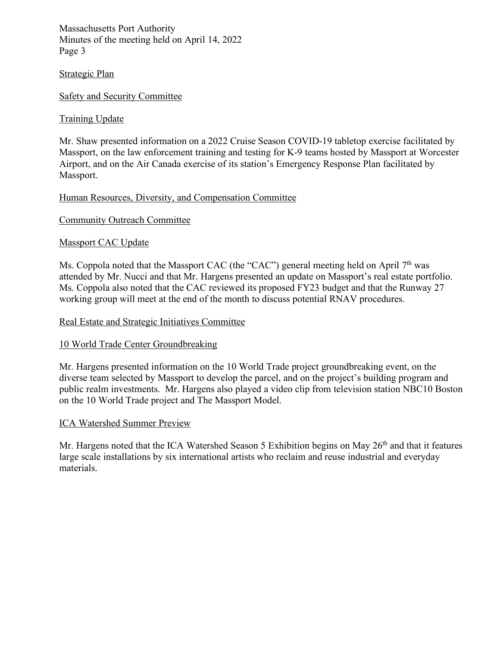# Strategic Plan

# Safety and Security Committee

# Training Update

Mr. Shaw presented information on a 2022 Cruise Season COVID-19 tabletop exercise facilitated by Massport, on the law enforcement training and testing for K-9 teams hosted by Massport at Worcester Airport, and on the Air Canada exercise of its station's Emergency Response Plan facilitated by Massport.

# Human Resources, Diversity, and Compensation Committee

# Community Outreach Committee

# Massport CAC Update

Ms. Coppola noted that the Massport CAC (the "CAC") general meeting held on April 7<sup>th</sup> was attended by Mr. Nucci and that Mr. Hargens presented an update on Massport's real estate portfolio. Ms. Coppola also noted that the CAC reviewed its proposed FY23 budget and that the Runway 27 working group will meet at the end of the month to discuss potential RNAV procedures.

#### Real Estate and Strategic Initiatives Committee

#### 10 World Trade Center Groundbreaking

Mr. Hargens presented information on the 10 World Trade project groundbreaking event, on the diverse team selected by Massport to develop the parcel, and on the project's building program and public realm investments. Mr. Hargens also played a video clip from television station NBC10 Boston on the 10 World Trade project and The Massport Model.

#### ICA Watershed Summer Preview

Mr. Hargens noted that the ICA Watershed Season 5 Exhibition begins on May 26<sup>th</sup> and that it features large scale installations by six international artists who reclaim and reuse industrial and everyday materials.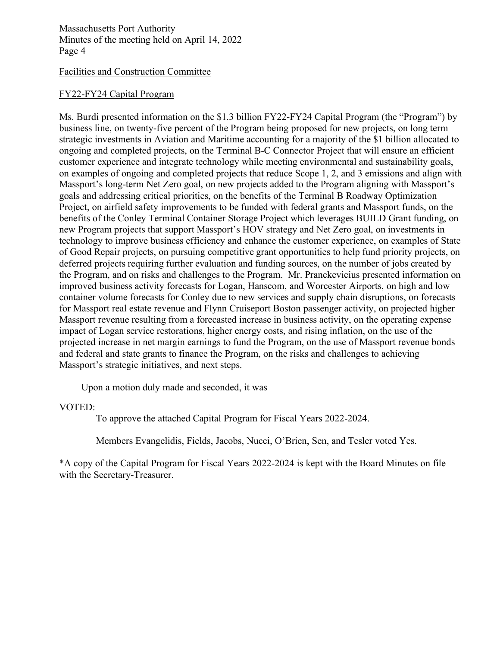#### Facilities and Construction Committee

### FY22-FY24 Capital Program

Ms. Burdi presented information on the \$1.3 billion FY22-FY24 Capital Program (the "Program") by business line, on twenty-five percent of the Program being proposed for new projects, on long term strategic investments in Aviation and Maritime accounting for a majority of the \$1 billion allocated to ongoing and completed projects, on the Terminal B-C Connector Project that will ensure an efficient customer experience and integrate technology while meeting environmental and sustainability goals, on examples of ongoing and completed projects that reduce Scope 1, 2, and 3 emissions and align with Massport's long-term Net Zero goal, on new projects added to the Program aligning with Massport's goals and addressing critical priorities, on the benefits of the Terminal B Roadway Optimization Project, on airfield safety improvements to be funded with federal grants and Massport funds, on the benefits of the Conley Terminal Container Storage Project which leverages BUILD Grant funding, on new Program projects that support Massport's HOV strategy and Net Zero goal, on investments in technology to improve business efficiency and enhance the customer experience, on examples of State of Good Repair projects, on pursuing competitive grant opportunities to help fund priority projects, on deferred projects requiring further evaluation and funding sources, on the number of jobs created by the Program, and on risks and challenges to the Program. Mr. Pranckevicius presented information on improved business activity forecasts for Logan, Hanscom, and Worcester Airports, on high and low container volume forecasts for Conley due to new services and supply chain disruptions, on forecasts for Massport real estate revenue and Flynn Cruiseport Boston passenger activity, on projected higher Massport revenue resulting from a forecasted increase in business activity, on the operating expense impact of Logan service restorations, higher energy costs, and rising inflation, on the use of the projected increase in net margin earnings to fund the Program, on the use of Massport revenue bonds and federal and state grants to finance the Program, on the risks and challenges to achieving Massport's strategic initiatives, and next steps.

Upon a motion duly made and seconded, it was

#### VOTED:

To approve the attached Capital Program for Fiscal Years 2022-2024.

Members Evangelidis, Fields, Jacobs, Nucci, O'Brien, Sen, and Tesler voted Yes.

\*A copy of the Capital Program for Fiscal Years 2022-2024 is kept with the Board Minutes on file with the Secretary-Treasurer.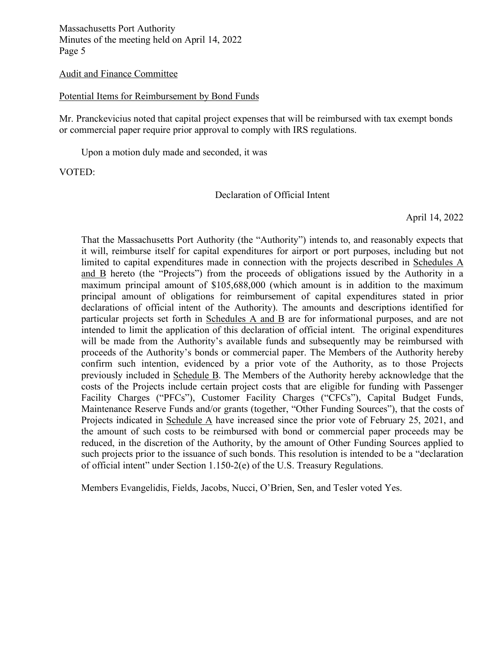#### Audit and Finance Committee

#### Potential Items for Reimbursement by Bond Funds

Mr. Pranckevicius noted that capital project expenses that will be reimbursed with tax exempt bonds or commercial paper require prior approval to comply with IRS regulations.

Upon a motion duly made and seconded, it was

VOTED:

#### Declaration of Official Intent

April 14, 2022

That the Massachusetts Port Authority (the "Authority") intends to, and reasonably expects that it will, reimburse itself for capital expenditures for airport or port purposes, including but not limited to capital expenditures made in connection with the projects described in Schedules A and B hereto (the "Projects") from the proceeds of obligations issued by the Authority in a maximum principal amount of \$105,688,000 (which amount is in addition to the maximum principal amount of obligations for reimbursement of capital expenditures stated in prior declarations of official intent of the Authority). The amounts and descriptions identified for particular projects set forth in Schedules A and B are for informational purposes, and are not intended to limit the application of this declaration of official intent. The original expenditures will be made from the Authority's available funds and subsequently may be reimbursed with proceeds of the Authority's bonds or commercial paper. The Members of the Authority hereby confirm such intention, evidenced by a prior vote of the Authority, as to those Projects previously included in Schedule B. The Members of the Authority hereby acknowledge that the costs of the Projects include certain project costs that are eligible for funding with Passenger Facility Charges ("PFCs"), Customer Facility Charges ("CFCs"), Capital Budget Funds, Maintenance Reserve Funds and/or grants (together, "Other Funding Sources"), that the costs of Projects indicated in Schedule A have increased since the prior vote of February 25, 2021, and the amount of such costs to be reimbursed with bond or commercial paper proceeds may be reduced, in the discretion of the Authority, by the amount of Other Funding Sources applied to such projects prior to the issuance of such bonds. This resolution is intended to be a "declaration of official intent" under Section 1.150-2(e) of the U.S. Treasury Regulations.

Members Evangelidis, Fields, Jacobs, Nucci, O'Brien, Sen, and Tesler voted Yes.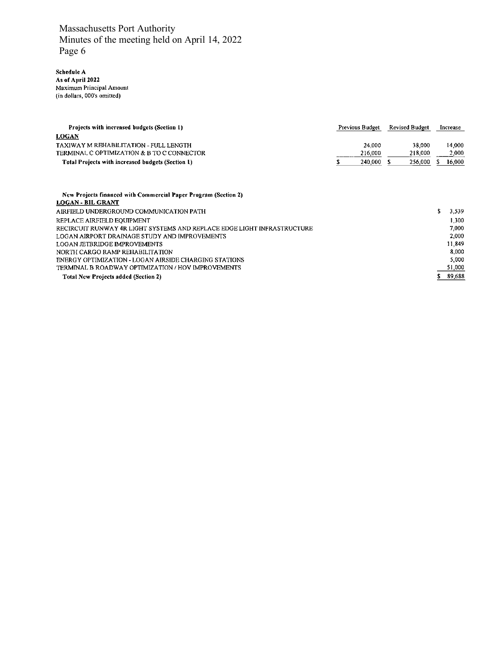Schedule A<br>As of April 2022<br>Maximum Principal Amount<br>(in dollars, 000's omitted)

| Projects with increased budgets (Section 1)       | Previous Budget | <b>Revised Budget</b> | Increase |
|---------------------------------------------------|-----------------|-----------------------|----------|
| <b>LOGAN</b>                                      |                 |                       |          |
| TAXIWAY M REHABILITATION - FULL LENGTH            | 24,000          | 38,000                | 14.000   |
| TERMINAL C OPTIMIZATION & B TO C CONNECTOR        | 216,000         | 218,000               | 2.000    |
| Total Projects with increased budgets (Section 1) | 240,000         | 256,000               | 16.000   |

| New Projects financed with Commercial Paper Program (Section 2)         |        |
|-------------------------------------------------------------------------|--------|
| <b>LOGAN - BIL GRANT</b>                                                |        |
| AIRFIELD UNDERGROUND COMMUNICATION PATH                                 | 3,539  |
| REPLACE AIRFIELD EOUIPMENT                                              | 1.300  |
| RECIRCUIT RUNWAY 4R LIGHT SYSTEMS AND REPLACE EDGE LIGHT INFRASTRUCTURE | 7.000  |
| LOGAN AIRPORT DRAINAGE STUDY AND IMPROVEMENTS                           | 2,000  |
| LOGAN JETBRIDGE IMPROVEMENTS                                            | 11,849 |
| NORTH CARGO RAMP REHABILITATION                                         | 8.000  |
| ENERGY OPTIMIZATION - LOGAN AIRSIDE CHARGING STATIONS                   | 5.000  |
| TERMINAL B ROADWAY OPTIMIZATION / HOV IMPROVEMENTS                      | 51,000 |
| <b>Total New Projects added (Section 2)</b>                             | 89,688 |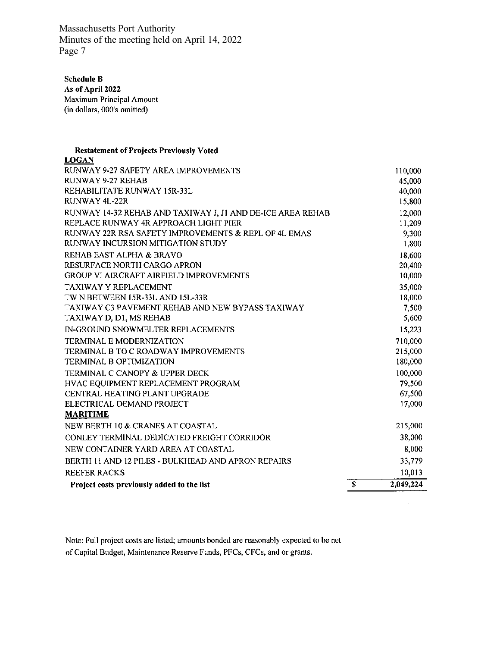**Schedule B** 

As of April 2022 Maximum Principal Amount (in dollars, 000's omitted)

#### **Restatement of Projects Previously Voted LOCAN**

| Project costs previously added to the list                                                          | $\overline{\mathbf{s}}$ | 2,049,224        |
|-----------------------------------------------------------------------------------------------------|-------------------------|------------------|
| <b>REEFER RACKS</b>                                                                                 |                         | 10,013           |
| BERTH 11 AND 12 PILES - BULKHEAD AND APRON REPAIRS                                                  |                         | 33,779           |
| NEW CONTAINER YARD AREA AT COASTAL                                                                  |                         | 8,000            |
| CONLEY TERMINAL DEDICATED FREIGHT CORRIDOR                                                          |                         | 38,000           |
| NEW BERTH 10 & CRANES AT COASTAL                                                                    |                         | 215,000          |
| <b>MARITIME</b>                                                                                     |                         |                  |
| ELECTRICAL DEMAND PROJECT                                                                           |                         | 17,000           |
| <b>CENTRAL HEATING PLANT UPGRADE</b>                                                                |                         | 67,500           |
| HVAC EQUIPMENT REPLACEMENT PROGRAM                                                                  |                         | 79,500           |
| <b>TERMINAL C CANOPY &amp; UPPER DECK</b>                                                           |                         | 100,000          |
| <b>TERMINAL B OPTIMIZATION</b>                                                                      |                         | 180,000          |
| TERMINAL B TO C ROADWAY IMPROVEMENTS                                                                |                         | 215,000          |
| <b>TERMINAL E MODERNIZATION</b>                                                                     |                         | 710,000          |
| IN-GROUND SNOWMELTER REPLACEMENTS                                                                   |                         | 15,223           |
| TAXIWAY D, DI, MS REHAB                                                                             |                         | 5,600            |
| TAXIWAY C3 PAVEMENT REHAB AND NEW BYPASS TAXIWAY                                                    |                         | 7,500            |
| TW N BETWEEN 15R-33L AND 15L-33R                                                                    |                         | 18,000           |
| <b>TAXIWAY Y REPLACEMENT</b>                                                                        |                         | 35,000           |
| <b>GROUP VI AIRCRAFT AIRFIELD IMPROVEMENTS</b>                                                      |                         | 10,000           |
| RESURFACE NORTH CARGO APRON                                                                         |                         | 20,400           |
| <b>REHAB EAST ALPHA &amp; BRAVO</b>                                                                 |                         | 18,600           |
| RUNWAY INCURSION MITIGATION STUDY                                                                   |                         | 1,800            |
| RUNWAY 22R RSA SAFETY IMPROVEMENTS & REPL OF 4L EMAS                                                |                         | 9,300            |
| RUNWAY 14-32 REHAB AND TAXIWAY J, J1 AND DE-ICE AREA REHAB<br>REPLACE RUNWAY 4R APPROACH LIGHT PIER |                         | 12,000<br>11,209 |
|                                                                                                     |                         |                  |
| <b>RUNWAY 4L-22R</b>                                                                                |                         | 40,000<br>15,800 |
| RUNWAY 9-27 REHAB<br>REHABILITATE RUNWAY 15R-33L                                                    |                         | 45,000           |
| RUNWAY 9-27 SAFETY AREA IMPROVEMENTS                                                                |                         | 110,000          |
| wvv.                                                                                                |                         |                  |

 $\mathcal{A}^{\pm}$ 

Note: Full project costs are listed; amounts bonded are reasonably expected to be net of Capital Budget, Maintenance Reserve Funds, PFCs, CFCs, and or grants.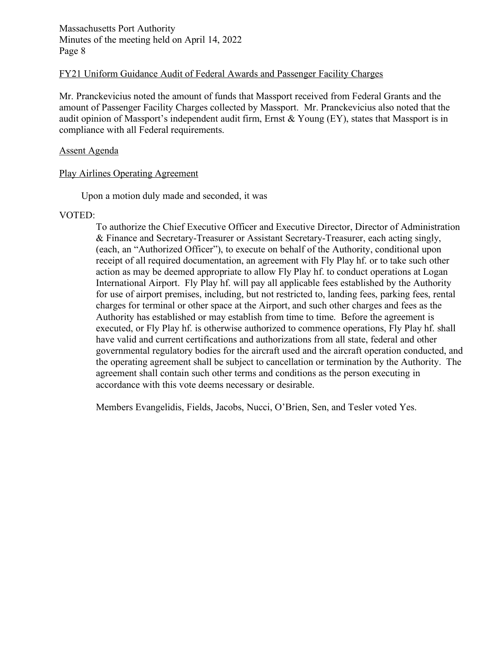### FY21 Uniform Guidance Audit of Federal Awards and Passenger Facility Charges

Mr. Pranckevicius noted the amount of funds that Massport received from Federal Grants and the amount of Passenger Facility Charges collected by Massport. Mr. Pranckevicius also noted that the audit opinion of Massport's independent audit firm, Ernst & Young (EY), states that Massport is in compliance with all Federal requirements.

### Assent Agenda

# Play Airlines Operating Agreement

Upon a motion duly made and seconded, it was

# VOTED:

To authorize the Chief Executive Officer and Executive Director, Director of Administration & Finance and Secretary-Treasurer or Assistant Secretary-Treasurer, each acting singly, (each, an "Authorized Officer"), to execute on behalf of the Authority, conditional upon receipt of all required documentation, an agreement with Fly Play hf. or to take such other action as may be deemed appropriate to allow Fly Play hf. to conduct operations at Logan International Airport. Fly Play hf. will pay all applicable fees established by the Authority for use of airport premises, including, but not restricted to, landing fees, parking fees, rental charges for terminal or other space at the Airport, and such other charges and fees as the Authority has established or may establish from time to time. Before the agreement is executed, or Fly Play hf. is otherwise authorized to commence operations, Fly Play hf. shall have valid and current certifications and authorizations from all state, federal and other governmental regulatory bodies for the aircraft used and the aircraft operation conducted, and the operating agreement shall be subject to cancellation or termination by the Authority. The agreement shall contain such other terms and conditions as the person executing in accordance with this vote deems necessary or desirable.

Members Evangelidis, Fields, Jacobs, Nucci, O'Brien, Sen, and Tesler voted Yes.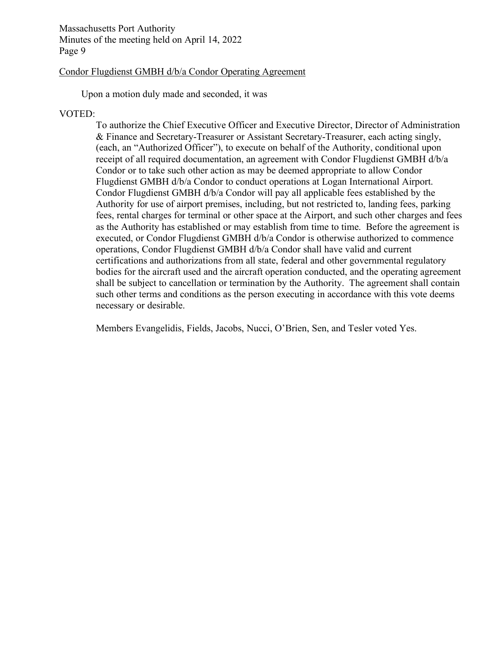#### Condor Flugdienst GMBH d/b/a Condor Operating Agreement

Upon a motion duly made and seconded, it was

#### VOTED:

To authorize the Chief Executive Officer and Executive Director, Director of Administration & Finance and Secretary-Treasurer or Assistant Secretary-Treasurer, each acting singly, (each, an "Authorized Officer"), to execute on behalf of the Authority, conditional upon receipt of all required documentation, an agreement with Condor Flugdienst GMBH d/b/a Condor or to take such other action as may be deemed appropriate to allow Condor Flugdienst GMBH d/b/a Condor to conduct operations at Logan International Airport. Condor Flugdienst GMBH d/b/a Condor will pay all applicable fees established by the Authority for use of airport premises, including, but not restricted to, landing fees, parking fees, rental charges for terminal or other space at the Airport, and such other charges and fees as the Authority has established or may establish from time to time. Before the agreement is executed, or Condor Flugdienst GMBH d/b/a Condor is otherwise authorized to commence operations, Condor Flugdienst GMBH d/b/a Condor shall have valid and current certifications and authorizations from all state, federal and other governmental regulatory bodies for the aircraft used and the aircraft operation conducted, and the operating agreement shall be subject to cancellation or termination by the Authority. The agreement shall contain such other terms and conditions as the person executing in accordance with this vote deems necessary or desirable.

Members Evangelidis, Fields, Jacobs, Nucci, O'Brien, Sen, and Tesler voted Yes.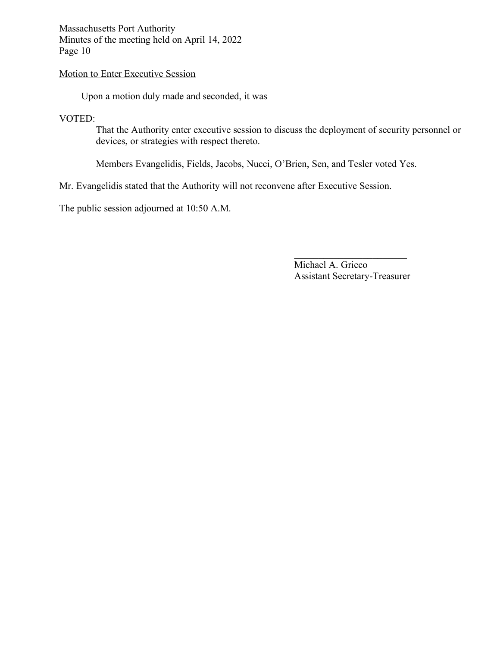# Motion to Enter Executive Session

Upon a motion duly made and seconded, it was

# VOTED:

That the Authority enter executive session to discuss the deployment of security personnel or devices, or strategies with respect thereto.

Members Evangelidis, Fields, Jacobs, Nucci, O'Brien, Sen, and Tesler voted Yes.

Mr. Evangelidis stated that the Authority will not reconvene after Executive Session.

The public session adjourned at 10:50 A.M.

Michael A. Grieco Assistant Secretary-Treasurer

 $\mathcal{L}_\text{max}$  , where  $\mathcal{L}_\text{max}$  , we are the set of the set of the set of the set of the set of the set of the set of the set of the set of the set of the set of the set of the set of the set of the set of the set of